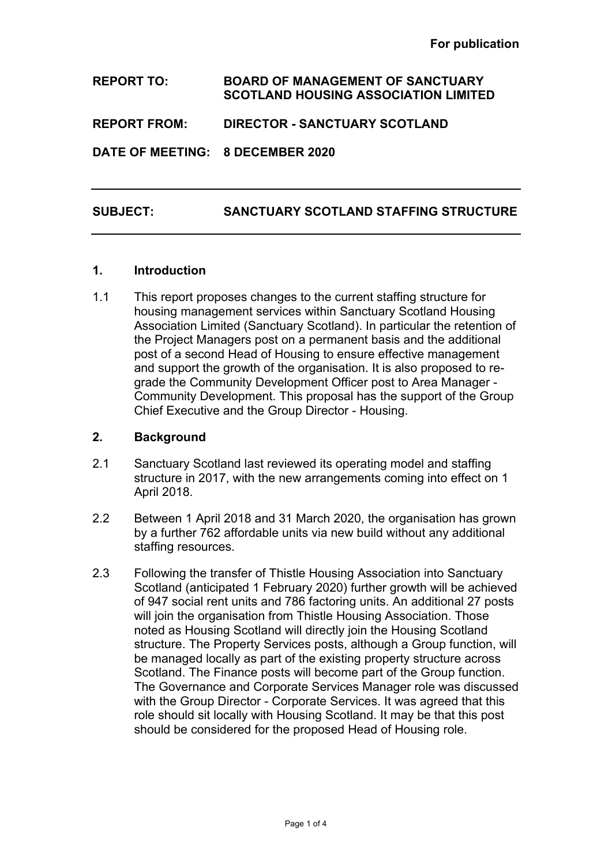**REPORT TO: BOARD OF MANAGEMENT OF SANCTUARY SCOTLAND HOUSING ASSOCIATION LIMITED REPORT FROM: DIRECTOR - SANCTUARY SCOTLAND DATE OF MEETING: 8 DECEMBER 2020**

# **SUBJECT: SANCTUARY SCOTLAND STAFFING STRUCTURE**

#### **1. Introduction**

1.1 This report proposes changes to the current staffing structure for housing management services within Sanctuary Scotland Housing Association Limited (Sanctuary Scotland). In particular the retention of the Project Managers post on a permanent basis and the additional post of a second Head of Housing to ensure effective management and support the growth of the organisation. It is also proposed to regrade the Community Development Officer post to Area Manager - Community Development. This proposal has the support of the Group Chief Executive and the Group Director - Housing.

## **2. Background**

- 2.1 Sanctuary Scotland last reviewed its operating model and staffing structure in 2017, with the new arrangements coming into effect on 1 April 2018.
- 2.2 Between 1 April 2018 and 31 March 2020, the organisation has grown by a further 762 affordable units via new build without any additional staffing resources.
- 2.3 Following the transfer of Thistle Housing Association into Sanctuary Scotland (anticipated 1 February 2020) further growth will be achieved of 947 social rent units and 786 factoring units. An additional 27 posts will join the organisation from Thistle Housing Association. Those noted as Housing Scotland will directly join the Housing Scotland structure. The Property Services posts, although a Group function, will be managed locally as part of the existing property structure across Scotland. The Finance posts will become part of the Group function. The Governance and Corporate Services Manager role was discussed with the Group Director - Corporate Services. It was agreed that this role should sit locally with Housing Scotland. It may be that this post should be considered for the proposed Head of Housing role.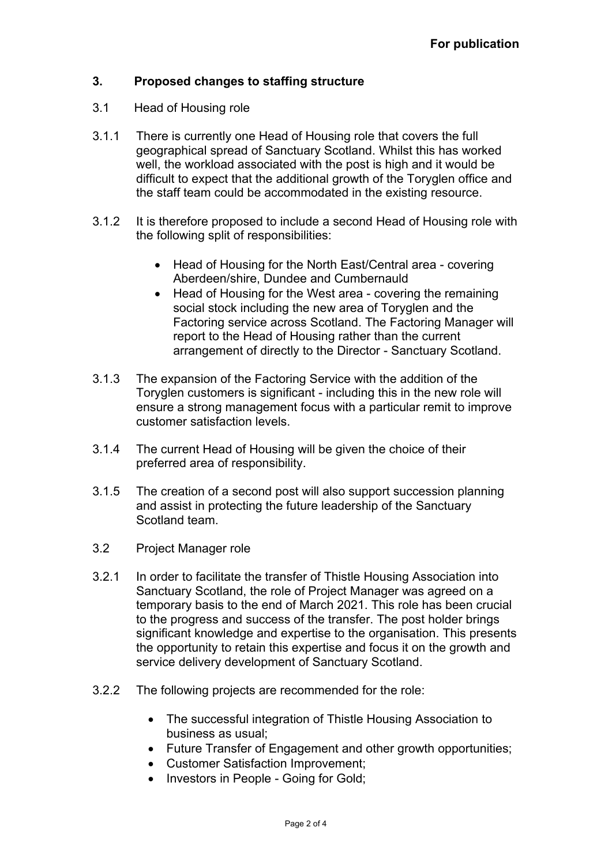# **3. Proposed changes to staffing structure**

- 3.1 Head of Housing role
- 3.1.1 There is currently one Head of Housing role that covers the full geographical spread of Sanctuary Scotland. Whilst this has worked well, the workload associated with the post is high and it would be difficult to expect that the additional growth of the Toryglen office and the staff team could be accommodated in the existing resource.
- 3.1.2 It is therefore proposed to include a second Head of Housing role with the following split of responsibilities:
	- Head of Housing for the North East/Central area covering Aberdeen/shire, Dundee and Cumbernauld
	- Head of Housing for the West area covering the remaining social stock including the new area of Toryglen and the Factoring service across Scotland. The Factoring Manager will report to the Head of Housing rather than the current arrangement of directly to the Director - Sanctuary Scotland.
- 3.1.3 The expansion of the Factoring Service with the addition of the Toryglen customers is significant - including this in the new role will ensure a strong management focus with a particular remit to improve customer satisfaction levels.
- 3.1.4 The current Head of Housing will be given the choice of their preferred area of responsibility.
- 3.1.5 The creation of a second post will also support succession planning and assist in protecting the future leadership of the Sanctuary Scotland team.
- 3.2 Project Manager role
- 3.2.1 In order to facilitate the transfer of Thistle Housing Association into Sanctuary Scotland, the role of Project Manager was agreed on a temporary basis to the end of March 2021. This role has been crucial to the progress and success of the transfer. The post holder brings significant knowledge and expertise to the organisation. This presents the opportunity to retain this expertise and focus it on the growth and service delivery development of Sanctuary Scotland.
- 3.2.2 The following projects are recommended for the role:
	- The successful integration of Thistle Housing Association to business as usual;
	- Future Transfer of Engagement and other growth opportunities;
	- Customer Satisfaction Improvement;
	- Investors in People Going for Gold;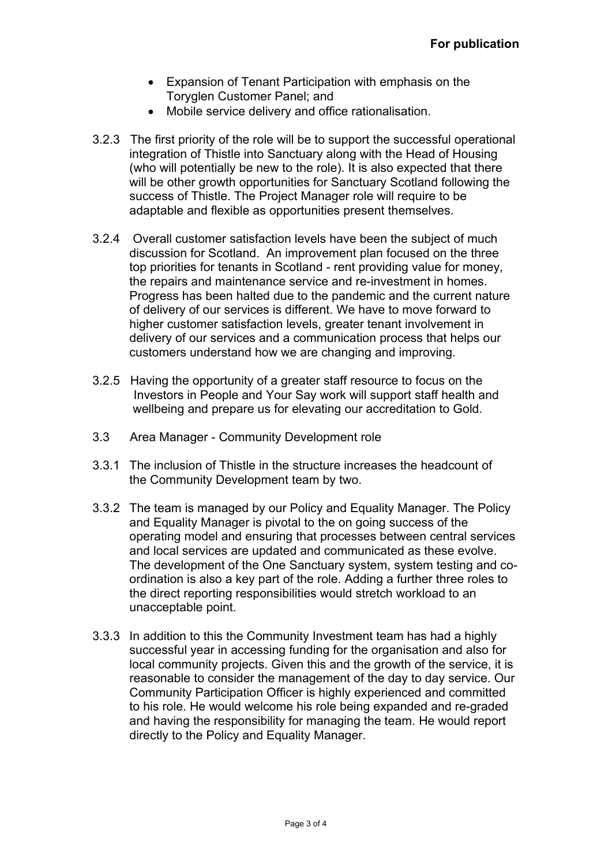- Expansion of Tenant Participation with emphasis on the Toryglen Customer Panel; and
- Mobile service delivery and office rationalisation.
- 3.2.3 The first priority of the role will be to support the successful operational integration of Thistle into Sanctuary along with the Head of Housing (who will potentially be new to the role). It is also expected that there will be other growth opportunities for Sanctuary Scotland following the success of Thistle. The Project Manager role will require to be adaptable and flexible as opportunities present themselves.
- 3.2.4 Overall customer satisfaction levels have been the subject of much discussion for Scotland. An improvement plan focused on the three top priorities for tenants in Scotland - rent providing value for money, the repairs and maintenance service and re-investment in homes. Progress has been halted due to the pandemic and the current nature of delivery of our services is different. We have to move forward to higher customer satisfaction levels, greater tenant involvement in delivery of our services and a communication process that helps our customers understand how we are changing and improving.
- 3.2.5 Having the opportunity of a greater staff resource to focus on the Investors in People and Your Say work will support staff health and wellbeing and prepare us for elevating our accreditation to Gold.
- 3.3 Area Manager Community Development role
- 3.3.1 The inclusion of Thistle in the structure increases the headcount of the Community Development team by two.
- 3.3.2 The team is managed by our Policy and Equality Manager. The Policy and Equality Manager is pivotal to the on going success of the operating model and ensuring that processes between central services and local services are updated and communicated as these evolve. The development of the One Sanctuary system, system testing and coordination is also a key part of the role. Adding a further three roles to the direct reporting responsibilities would stretch workload to an unacceptable point.
- 3.3.3 In addition to this the Community Investment team has had a highly successful year in accessing funding for the organisation and also for local community projects. Given this and the growth of the service, it is reasonable to consider the management of the day to day service. Our Community Participation Officer is highly experienced and committed to his role. He would welcome his role being expanded and re-graded and having the responsibility for managing the team. He would report directly to the Policy and Equality Manager.